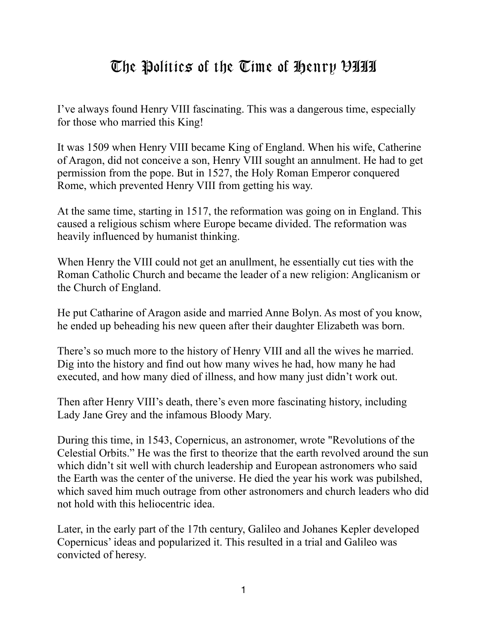## The Politics of the Time of Henry VIII

I've always found Henry VIII fascinating. This was a dangerous time, especially for those who married this King!

It was 1509 when Henry VIII became King of England. When his wife, Catherine of Aragon, did not conceive a son, Henry VIII sought an annulment. He had to get permission from the pope. But in 1527, the Holy Roman Emperor conquered Rome, which prevented Henry VIII from getting his way.

At the same time, starting in 1517, the reformation was going on in England. This caused a religious schism where Europe became divided. The reformation was heavily influenced by humanist thinking.

When Henry the VIII could not get an anullment, he essentially cut ties with the Roman Catholic Church and became the leader of a new religion: Anglicanism or the Church of England.

He put Catharine of Aragon aside and married Anne Bolyn. As most of you know, he ended up beheading his new queen after their daughter Elizabeth was born.

There's so much more to the history of Henry VIII and all the wives he married. Dig into the history and find out how many wives he had, how many he had executed, and how many died of illness, and how many just didn't work out.

Then after Henry VIII's death, there's even more fascinating history, including Lady Jane Grey and the infamous Bloody Mary.

During this time, in 1543, Copernicus, an astronomer, wrote "Revolutions of the Celestial Orbits." He was the first to theorize that the earth revolved around the sun which didn't sit well with church leadership and European astronomers who said the Earth was the center of the universe. He died the year his work was pubilshed, which saved him much outrage from other astronomers and church leaders who did not hold with this heliocentric idea.

Later, in the early part of the 17th century, Galileo and Johanes Kepler developed Copernicus' ideas and popularized it. This resulted in a trial and Galileo was convicted of heresy.